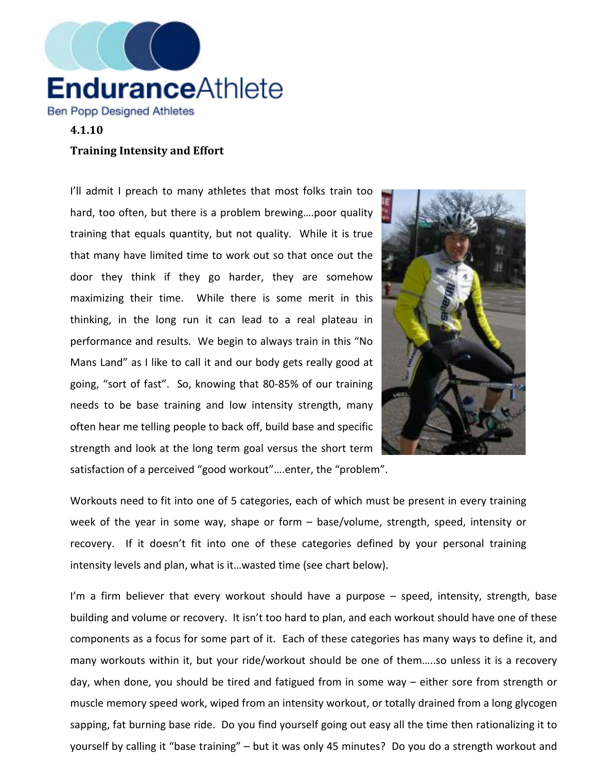

## 4.1.10

## Training Intensity and Effort

I'll admit I preach to many athletes that most folks train too hard, too often, but there is a problem brewing....poor quality training that equals quantity, but not quality. While it is true that many have limited time to work out so that once out the door they think if they go harder, they are somehow maximizing their time. While there is some merit in this thinking, in the long run it can lead to a real plateau in performance and results. We begin to always train in this "No Mans Land" as I like to call it and our body gets really good at going, "sort of fast". So, knowing that 80-85% of our training needs to be base training and low intensity strength, many often hear me telling people to back off, build base and specific strength and look at the long term goal versus the short term satisfaction of a perceived "good workout"….enter, the "problem".



Workouts need to fit into one of 5 categories, each of which must be present in every training week of the year in some way, shape or form – base/volume, strength, speed, intensity or recovery. If it doesn't fit into one of these categories defined by your personal training intensity levels and plan, what is it…wasted time (see chart below).

I'm a firm believer that every workout should have a purpose – speed, intensity, strength, base building and volume or recovery. It isn't too hard to plan, and each workout should have one of these components as a focus for some part of it. Each of these categories has many ways to define it, and many workouts within it, but your ride/workout should be one of them…..so unless it is a recovery day, when done, you should be tired and fatigued from in some way – either sore from strength or muscle memory speed work, wiped from an intensity workout, or totally drained from a long glycogen sapping, fat burning base ride. Do you find yourself going out easy all the time then rationalizing it to yourself by calling it "base training" – but it was only 45 minutes? Do you do a strength workout and